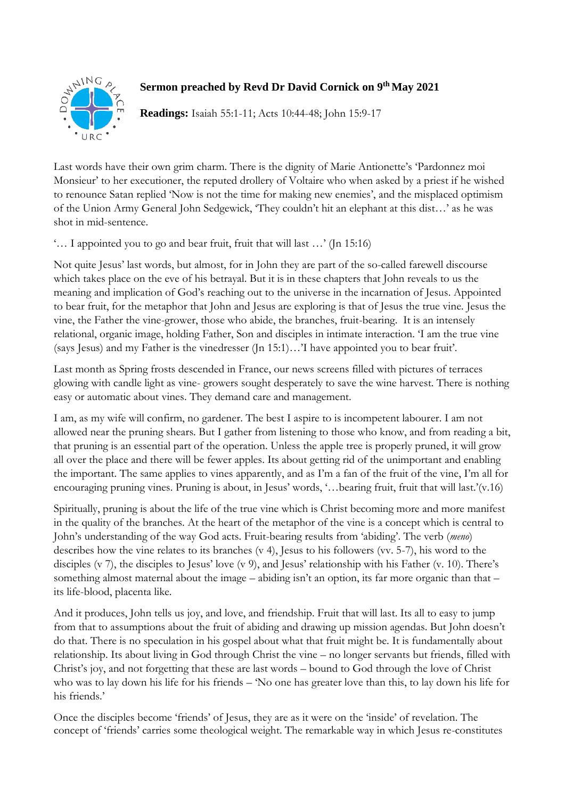

## **Sermon preached by Revd Dr David Cornick on 9 th May 2021**

**Readings:** Isaiah 55:1-11; Acts 10:44-48; John 15:9-17

Last words have their own grim charm. There is the dignity of Marie Antionette's 'Pardonnez moi Monsieur' to her executioner, the reputed drollery of Voltaire who when asked by a priest if he wished to renounce Satan replied 'Now is not the time for making new enemies', and the misplaced optimism of the Union Army General John Sedgewick, 'They couldn't hit an elephant at this dist…' as he was shot in mid-sentence.

'… I appointed you to go and bear fruit, fruit that will last …' (Jn 15:16)

Not quite Jesus' last words, but almost, for in John they are part of the so-called farewell discourse which takes place on the eve of his betrayal. But it is in these chapters that John reveals to us the meaning and implication of God's reaching out to the universe in the incarnation of Jesus. Appointed to bear fruit, for the metaphor that John and Jesus are exploring is that of Jesus the true vine. Jesus the vine, the Father the vine-grower, those who abide, the branches, fruit-bearing. It is an intensely relational, organic image, holding Father, Son and disciples in intimate interaction. 'I am the true vine (says Jesus) and my Father is the vinedresser  $($ [n 15:1)...'I have appointed you to bear fruit'.

Last month as Spring frosts descended in France, our news screens filled with pictures of terraces glowing with candle light as vine- growers sought desperately to save the wine harvest. There is nothing easy or automatic about vines. They demand care and management.

I am, as my wife will confirm, no gardener. The best I aspire to is incompetent labourer. I am not allowed near the pruning shears. But I gather from listening to those who know, and from reading a bit, that pruning is an essential part of the operation. Unless the apple tree is properly pruned, it will grow all over the place and there will be fewer apples. Its about getting rid of the unimportant and enabling the important. The same applies to vines apparently, and as I'm a fan of the fruit of the vine, I'm all for encouraging pruning vines. Pruning is about, in Jesus' words, '…bearing fruit, fruit that will last.'(v.16)

Spiritually, pruning is about the life of the true vine which is Christ becoming more and more manifest in the quality of the branches. At the heart of the metaphor of the vine is a concept which is central to John's understanding of the way God acts. Fruit-bearing results from 'abiding'. The verb (*meno*) describes how the vine relates to its branches (v 4), Jesus to his followers (vv. 5-7), his word to the disciples (v 7), the disciples to Jesus' love (v 9), and Jesus' relationship with his Father (v. 10). There's something almost maternal about the image – abiding isn't an option, its far more organic than that – its life-blood, placenta like.

And it produces, John tells us joy, and love, and friendship. Fruit that will last. Its all to easy to jump from that to assumptions about the fruit of abiding and drawing up mission agendas. But John doesn't do that. There is no speculation in his gospel about what that fruit might be. It is fundamentally about relationship. Its about living in God through Christ the vine – no longer servants but friends, filled with Christ's joy, and not forgetting that these are last words – bound to God through the love of Christ who was to lay down his life for his friends – 'No one has greater love than this, to lay down his life for his friends.'

Once the disciples become 'friends' of Jesus, they are as it were on the 'inside' of revelation. The concept of 'friends' carries some theological weight. The remarkable way in which Jesus re-constitutes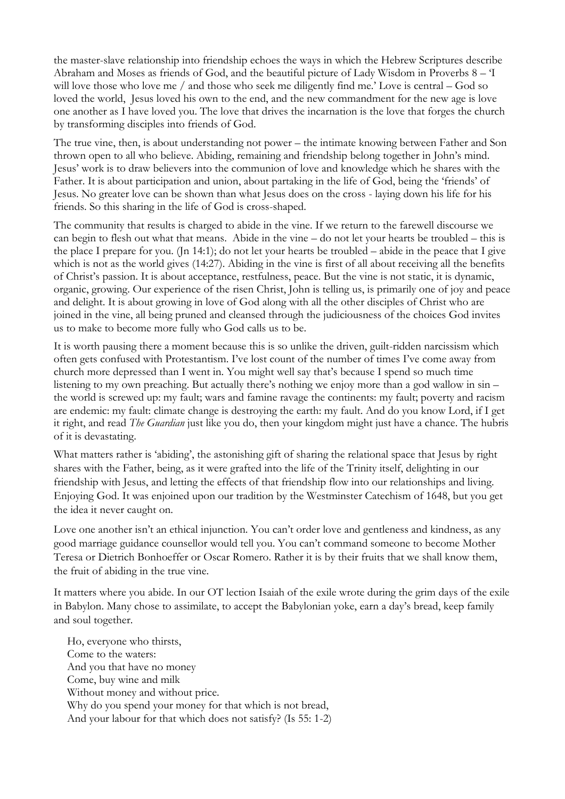the master-slave relationship into friendship echoes the ways in which the Hebrew Scriptures describe Abraham and Moses as friends of God, and the beautiful picture of Lady Wisdom in Proverbs 8 – 'I will love those who love me / and those who seek me diligently find me.' Love is central – God so loved the world, Jesus loved his own to the end, and the new commandment for the new age is love one another as I have loved you. The love that drives the incarnation is the love that forges the church by transforming disciples into friends of God.

The true vine, then, is about understanding not power – the intimate knowing between Father and Son thrown open to all who believe. Abiding, remaining and friendship belong together in John's mind. Jesus' work is to draw believers into the communion of love and knowledge which he shares with the Father. It is about participation and union, about partaking in the life of God, being the 'friends' of Jesus. No greater love can be shown than what Jesus does on the cross - laying down his life for his friends. So this sharing in the life of God is cross-shaped.

The community that results is charged to abide in the vine. If we return to the farewell discourse we can begin to flesh out what that means. Abide in the vine – do not let your hearts be troubled – this is the place I prepare for you. (Jn 14:1); do not let your hearts be troubled – abide in the peace that I give which is not as the world gives (14:27). Abiding in the vine is first of all about receiving all the benefits of Christ's passion. It is about acceptance, restfulness, peace. But the vine is not static, it is dynamic, organic, growing. Our experience of the risen Christ, John is telling us, is primarily one of joy and peace and delight. It is about growing in love of God along with all the other disciples of Christ who are joined in the vine, all being pruned and cleansed through the judiciousness of the choices God invites us to make to become more fully who God calls us to be.

It is worth pausing there a moment because this is so unlike the driven, guilt-ridden narcissism which often gets confused with Protestantism. I've lost count of the number of times I've come away from church more depressed than I went in. You might well say that's because I spend so much time listening to my own preaching. But actually there's nothing we enjoy more than a god wallow in sin – the world is screwed up: my fault; wars and famine ravage the continents: my fault; poverty and racism are endemic: my fault: climate change is destroying the earth: my fault. And do you know Lord, if I get it right, and read *The Guardian* just like you do, then your kingdom might just have a chance. The hubris of it is devastating.

What matters rather is 'abiding', the astonishing gift of sharing the relational space that Jesus by right shares with the Father, being, as it were grafted into the life of the Trinity itself, delighting in our friendship with Jesus, and letting the effects of that friendship flow into our relationships and living. Enjoying God. It was enjoined upon our tradition by the Westminster Catechism of 1648, but you get the idea it never caught on.

Love one another isn't an ethical injunction. You can't order love and gentleness and kindness, as any good marriage guidance counsellor would tell you. You can't command someone to become Mother Teresa or Dietrich Bonhoeffer or Oscar Romero. Rather it is by their fruits that we shall know them, the fruit of abiding in the true vine.

It matters where you abide. In our OT lection Isaiah of the exile wrote during the grim days of the exile in Babylon. Many chose to assimilate, to accept the Babylonian yoke, earn a day's bread, keep family and soul together.

Ho, everyone who thirsts, Come to the waters: And you that have no money Come, buy wine and milk Without money and without price. Why do you spend your money for that which is not bread, And your labour for that which does not satisfy? (Is 55: 1-2)